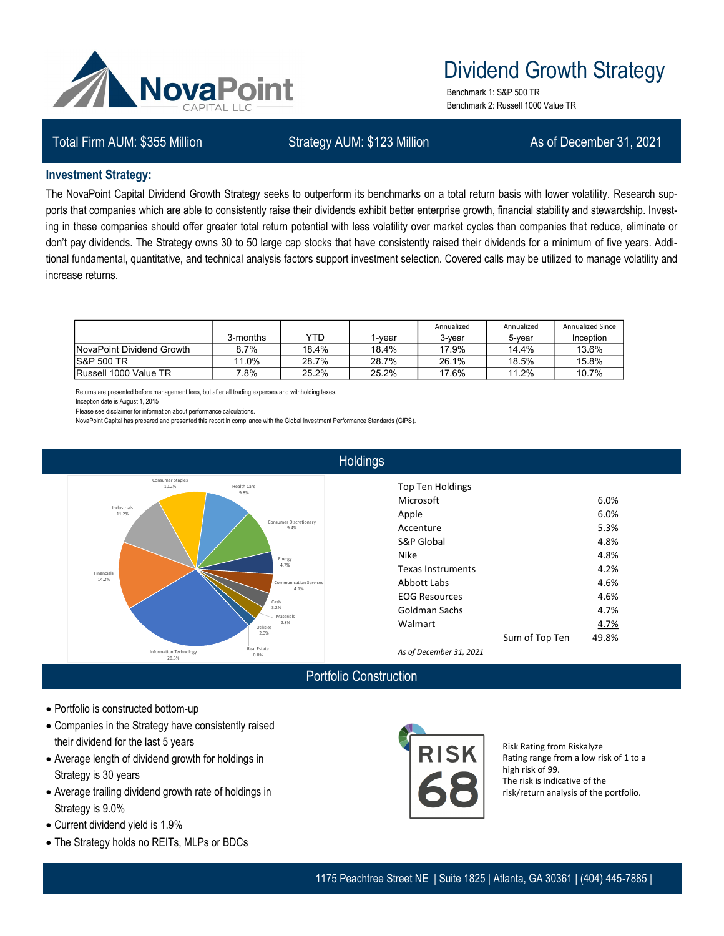

# Dividend Growth Strategy

Benchmark 1: S&P 500 TR Benchmark 2: Russell 1000 Value TR

## Total Firm AUM: \$355 Million Strategy AUM: \$123 Million As of December 31, 2021

#### **Investment Strategy:**

The NovaPoint Capital Dividend Growth Strategy seeks to outperform its benchmarks on a total return basis with lower volatility. Research supports that companies which are able to consistently raise their dividends exhibit better enterprise growth, financial stability and stewardship. Investing in these companies should offer greater total return potential with less volatility over market cycles than companies that reduce, eliminate or don't pay dividends. The Strategy owns 30 to 50 large cap stocks that have consistently raised their dividends for a minimum of five years. Additional fundamental, quantitative, and technical analysis factors support investment selection. Covered calls may be utilized to manage volatility and increase returns.

|                           | 3-months | YTD   | l-vear | Annualized<br>3-vear | Annualized<br>5-vear | <b>Annualized Since</b><br>Inception |
|---------------------------|----------|-------|--------|----------------------|----------------------|--------------------------------------|
| NovaPoint Dividend Growth | 8.7%     | 18.4% | 18.4%  | 17.9%                | 14.4%                | 13.6%                                |
| <b>S&amp;P 500 TR</b>     | .0%      | 28.7% | 28.7%  | 26.1%                | 18.5%                | 15.8%                                |
| Russell 1000 Value TR     | .8%      | 25.2% | 25.2%  | 17.6%                | 11.2%                | 10.7%                                |

Returns are presented before management fees, but after all trading expenses and withholding taxes.

Inception date is August 1, 2015

Please see disclaimer for information about performance calculations.

NovaPoint Capital has prepared and presented this report in compliance with the Global Investment Performance Standards (GIPS).



## **Holdings**

| <b>Top Ten Holdings</b> |                |       |  |
|-------------------------|----------------|-------|--|
| Microsoft               |                | 6.0%  |  |
| Apple                   |                | 6.0%  |  |
| Accenture               |                | 5.3%  |  |
| <b>S&amp;P Global</b>   |                | 4.8%  |  |
| <b>Nike</b>             |                | 4.8%  |  |
| Texas Instruments       |                | 4.2%  |  |
| Abbott Labs             |                | 4.6%  |  |
| <b>EOG Resources</b>    |                | 4.6%  |  |
| Goldman Sachs           | 4.7%           |       |  |
| Walmart                 |                | 4.7%  |  |
|                         | Sum of Top Ten | 49.8% |  |
|                         |                |       |  |

*As of December 31, 2021*

## Portfolio Construction

- Portfolio is constructed bottom-up
- Companies in the Strategy have consistently raised their dividend for the last 5 years
- Average length of dividend growth for holdings in Strategy is 30 years
- Average trailing dividend growth rate of holdings in Strategy is 9.0%
- Current dividend yield is 1.9%
- The Strategy holds no REITs, MLPs or BDCs



Risk Rating from Riskalyze Rating range from a low risk of 1 to a high risk of 99. The risk is indicative of the risk/return analysis of the portfolio.